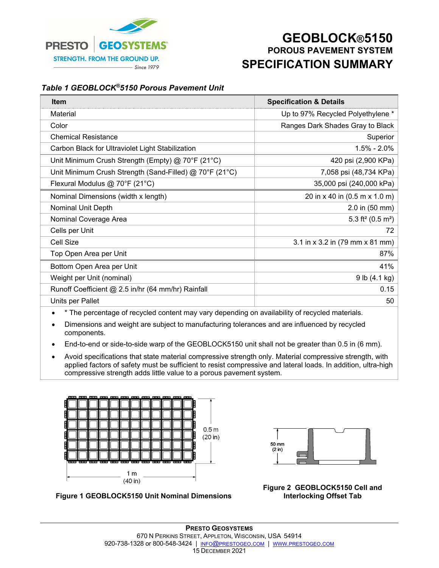

## **GEOBLOCK®5150 POROUS PAVEMENT SYSTEM SPECIFICATION SUMMARY**

## *Table 1 GEOBLOCK®5150 Porous Pavement Unit*

| Item                                                    | <b>Specification &amp; Details</b>        |  |
|---------------------------------------------------------|-------------------------------------------|--|
| Material                                                | Up to 97% Recycled Polyethylene *         |  |
| Color                                                   | Ranges Dark Shades Gray to Black          |  |
| <b>Chemical Resistance</b>                              | Superior                                  |  |
| Carbon Black for Ultraviolet Light Stabilization        | $1.5\% - 2.0\%$                           |  |
| Unit Minimum Crush Strength (Empty) @ 70°F (21°C)       | 420 psi (2,900 KPa)                       |  |
| Unit Minimum Crush Strength (Sand-Filled) @ 70°F (21°C) | 7,058 psi (48,734 KPa)                    |  |
| Flexural Modulus @ 70°F (21°C)                          | 35,000 psi (240,000 kPa)                  |  |
| Nominal Dimensions (width x length)                     | 20 in x 40 in (0.5 m x 1.0 m)             |  |
| Nominal Unit Depth                                      | 2.0 in (50 mm)                            |  |
| Nominal Coverage Area                                   | 5.3 ft <sup>2</sup> (0.5 m <sup>2</sup> ) |  |
| Cells per Unit                                          | 72                                        |  |
| <b>Cell Size</b>                                        | 3.1 in x 3.2 in (79 mm x 81 mm)           |  |
| Top Open Area per Unit                                  | 87%                                       |  |
| Bottom Open Area per Unit                               | 41%                                       |  |
| Weight per Unit (nominal)                               | 9 lb (4.1 kg)                             |  |
| Runoff Coefficient @ 2.5 in/hr (64 mm/hr) Rainfall      | 0.15                                      |  |
| Units per Pallet                                        | 50                                        |  |

\* The percentage of recycled content may vary depending on availability of recycled materials.

- Dimensions and weight are subject to manufacturing tolerances and are influenced by recycled components.
- End-to-end or side-to-side warp of the GEOBLOCK5150 unit shall not be greater than 0.5 in (6 mm).
- Avoid specifications that state material compressive strength only. Material compressive strength, with applied factors of safety must be sufficient to resist compressive and lateral loads. In addition, ultra-high compressive strength adds little value to a porous pavement system.





**Figure 2 GEOBLOCK5150 Cell and Interlocking Offset Tab** 

**Figure 1 GEOBLOCK5150 Unit Nominal Dimensions**